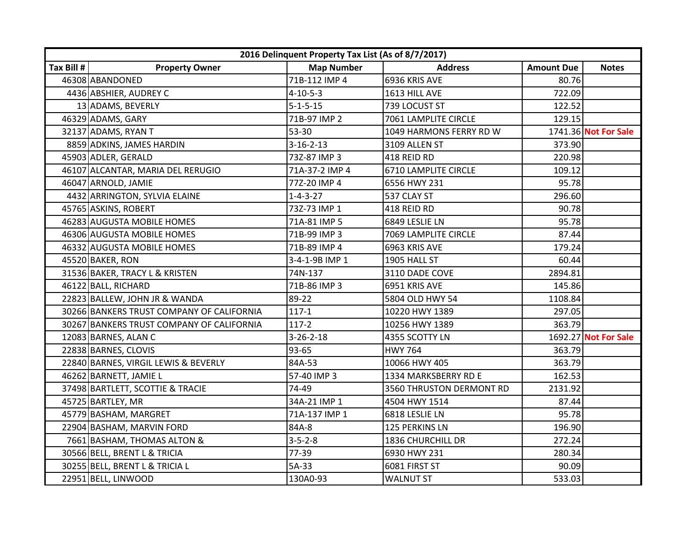|            | 2016 Delinquent Property Tax List (As of 8/7/2017) |                   |                          |                   |                      |  |  |
|------------|----------------------------------------------------|-------------------|--------------------------|-------------------|----------------------|--|--|
| Tax Bill # | <b>Property Owner</b>                              | <b>Map Number</b> | <b>Address</b>           | <b>Amount Due</b> | <b>Notes</b>         |  |  |
|            | 46308 ABANDONED                                    | 71B-112 IMP 4     | 6936 KRIS AVE            | 80.76             |                      |  |  |
|            | 4436 ABSHIER, AUDREY C                             | $4 - 10 - 5 - 3$  | 1613 HILL AVE            | 722.09            |                      |  |  |
|            | 13 ADAMS, BEVERLY                                  | $5 - 1 - 5 - 15$  | 739 LOCUST ST            | 122.52            |                      |  |  |
|            | 46329 ADAMS, GARY                                  | 71B-97 IMP 2      | 7061 LAMPLITE CIRCLE     | 129.15            |                      |  |  |
|            | 32137 ADAMS, RYAN T                                | 53-30             | 1049 HARMONS FERRY RD W  |                   | 1741.36 Not For Sale |  |  |
|            | 8859 ADKINS, JAMES HARDIN                          | $3 - 16 - 2 - 13$ | 3109 ALLEN ST            | 373.90            |                      |  |  |
|            | 45903 ADLER, GERALD                                | 73Z-87 IMP 3      | 418 REID RD              | 220.98            |                      |  |  |
|            | 46107 ALCANTAR, MARIA DEL RERUGIO                  | 71A-37-2 IMP 4    | 6710 LAMPLITE CIRCLE     | 109.12            |                      |  |  |
|            | 46047 ARNOLD, JAMIE                                | 77Z-20 IMP 4      | 6556 HWY 231             | 95.78             |                      |  |  |
|            | 4432 ARRINGTON, SYLVIA ELAINE                      | $1 - 4 - 3 - 27$  | 537 CLAY ST              | 296.60            |                      |  |  |
|            | 45765 ASKINS, ROBERT                               | 73Z-73 IMP 1      | 418 REID RD              | 90.78             |                      |  |  |
|            | 46283 AUGUSTA MOBILE HOMES                         | 71A-81 IMP 5      | 6849 LESLIE LN           | 95.78             |                      |  |  |
|            | 46306 AUGUSTA MOBILE HOMES                         | 71B-99 IMP 3      | 7069 LAMPLITE CIRCLE     | 87.44             |                      |  |  |
|            | 46332 AUGUSTA MOBILE HOMES                         | 71B-89 IMP 4      | 6963 KRIS AVE            | 179.24            |                      |  |  |
|            | 45520 BAKER, RON                                   | 3-4-1-9B IMP 1    | 1905 HALL ST             | 60.44             |                      |  |  |
|            | 31536 BAKER, TRACY L & KRISTEN                     | 74N-137           | 3110 DADE COVE           | 2894.81           |                      |  |  |
|            | 46122 BALL, RICHARD                                | 71B-86 IMP 3      | 6951 KRIS AVE            | 145.86            |                      |  |  |
|            | 22823 BALLEW, JOHN JR & WANDA                      | 89-22             | 5804 OLD HWY 54          | 1108.84           |                      |  |  |
|            | 30266 BANKERS TRUST COMPANY OF CALIFORNIA          | $117 - 1$         | 10220 HWY 1389           | 297.05            |                      |  |  |
|            | 30267 BANKERS TRUST COMPANY OF CALIFORNIA          | $117-2$           | 10256 HWY 1389           | 363.79            |                      |  |  |
|            | 12083 BARNES, ALAN C                               | $3 - 26 - 2 - 18$ | 4355 SCOTTY LN           |                   | 1692.27 Not For Sale |  |  |
|            | 22838 BARNES, CLOVIS                               | 93-65             | <b>HWY 764</b>           | 363.79            |                      |  |  |
|            | 22840 BARNES, VIRGIL LEWIS & BEVERLY               | 84A-53            | 10066 HWY 405            | 363.79            |                      |  |  |
|            | 46262 BARNETT, JAMIE L                             | 57-40 IMP 3       | 1334 MARKSBERRY RD E     | 162.53            |                      |  |  |
|            | 37498 BARTLETT, SCOTTIE & TRACIE                   | 74-49             | 3560 THRUSTON DERMONT RD | 2131.92           |                      |  |  |
|            | 45725 BARTLEY, MR                                  | 34A-21 IMP 1      | 4504 HWY 1514            | 87.44             |                      |  |  |
|            | 45779 BASHAM, MARGRET                              | 71A-137 IMP 1     | 6818 LESLIE LN           | 95.78             |                      |  |  |
|            | 22904 BASHAM, MARVIN FORD                          | 84A-8             | 125 PERKINS LN           | 196.90            |                      |  |  |
|            | 7661 BASHAM, THOMAS ALTON &                        | $3 - 5 - 2 - 8$   | 1836 CHURCHILL DR        | 272.24            |                      |  |  |
|            | 30566 BELL, BRENT L & TRICIA                       | 77-39             | 6930 HWY 231             | 280.34            |                      |  |  |
|            | 30255 BELL, BRENT L & TRICIA L                     | 5A-33             | 6081 FIRST ST            | 90.09             |                      |  |  |
|            | 22951 BELL, LINWOOD                                | 130A0-93          | <b>WALNUT ST</b>         | 533.03            |                      |  |  |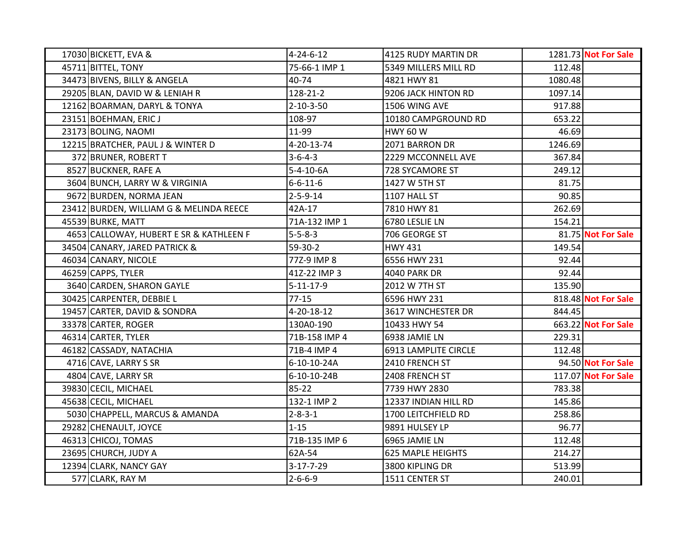| 17030 BICKETT, EVA &                    | $4 - 24 - 6 - 12$ | 4125 RUDY MARTIN DR      |         | 1281.73 Not For Sale |
|-----------------------------------------|-------------------|--------------------------|---------|----------------------|
| 45711 BITTEL, TONY                      | 75-66-1 IMP 1     | 5349 MILLERS MILL RD     | 112.48  |                      |
| 34473 BIVENS, BILLY & ANGELA            | 40-74             | 4821 HWY 81              | 1080.48 |                      |
| 29205 BLAN, DAVID W & LENIAH R          | 128-21-2          | 9206 JACK HINTON RD      | 1097.14 |                      |
| 12162 BOARMAN, DARYL & TONYA            | $2 - 10 - 3 - 50$ | 1506 WING AVE            | 917.88  |                      |
| 23151 BOEHMAN, ERIC J                   | 108-97            | 10180 CAMPGROUND RD      | 653.22  |                      |
| 23173 BOLING, NAOMI                     | 11-99             | <b>HWY 60 W</b>          | 46.69   |                      |
| 12215 BRATCHER, PAUL J & WINTER D       | 4-20-13-74        | 2071 BARRON DR           | 1246.69 |                      |
| 372 BRUNER, ROBERT T                    | $3 - 6 - 4 - 3$   | 2229 MCCONNELL AVE       | 367.84  |                      |
| 8527 BUCKNER, RAFE A                    | $5-4-10-6A$       | 728 SYCAMORE ST          | 249.12  |                      |
| 3604 BUNCH, LARRY W & VIRGINIA          | $6 - 6 - 11 - 6$  | 1427 W 5TH ST            | 81.75   |                      |
| 9672 BURDEN, NORMA JEAN                 | $2 - 5 - 9 - 14$  | 1107 HALL ST             | 90.85   |                      |
| 23412 BURDEN, WILLIAM G & MELINDA REECE | 42A-17            | 7810 HWY 81              | 262.69  |                      |
| 45539 BURKE, MATT                       | 71A-132 IMP 1     | 6780 LESLIE LN           | 154.21  |                      |
| 4653 CALLOWAY, HUBERT E SR & KATHLEEN F | $5 - 5 - 8 - 3$   | 706 GEORGE ST            |         | 81.75 Not For Sale   |
| 34504 CANARY, JARED PATRICK &           | 59-30-2           | <b>HWY 431</b>           | 149.54  |                      |
| 46034 CANARY, NICOLE                    | 77Z-9 IMP 8       | 6556 HWY 231             | 92.44   |                      |
| 46259 CAPPS, TYLER                      | 41Z-22 IMP 3      | <b>4040 PARK DR</b>      | 92.44   |                      |
| 3640 CARDEN, SHARON GAYLE               | $5 - 11 - 17 - 9$ | 2012 W 7TH ST            | 135.90  |                      |
| 30425 CARPENTER, DEBBIE L               | $77 - 15$         | 6596 HWY 231             |         | 818.48 Not For Sale  |
| 19457 CARTER, DAVID & SONDRA            | 4-20-18-12        | 3617 WINCHESTER DR       | 844.45  |                      |
| 33378 CARTER, ROGER                     | 130A0-190         | 10433 HWY 54             |         | 663.22 Not For Sale  |
| 46314 CARTER, TYLER                     | 71B-158 IMP 4     | 6938 JAMIE LN            | 229.31  |                      |
| 46182 CASSADY, NATACHIA                 | 71B-4 IMP 4       | 6913 LAMPLITE CIRCLE     | 112.48  |                      |
| 4716 CAVE, LARRY S SR                   | 6-10-10-24A       | 2410 FRENCH ST           |         | 94.50 Not For Sale   |
| 4804 CAVE, LARRY SR                     | 6-10-10-24B       | 2408 FRENCH ST           |         | 117.07 Not For Sale  |
| 39830 CECIL, MICHAEL                    | $85 - 22$         | 7739 HWY 2830            | 783.38  |                      |
| 45638 CECIL, MICHAEL                    | 132-1 IMP 2       | 12337 INDIAN HILL RD     | 145.86  |                      |
| 5030 CHAPPELL, MARCUS & AMANDA          | $2 - 8 - 3 - 1$   | 1700 LEITCHFIELD RD      | 258.86  |                      |
| 29282 CHENAULT, JOYCE                   | $1 - 15$          | 9891 HULSEY LP           | 96.77   |                      |
| 46313 CHICOJ, TOMAS                     | 71B-135 IMP 6     | 6965 JAMIE LN            | 112.48  |                      |
| 23695 CHURCH, JUDY A                    | 62A-54            | <b>625 MAPLE HEIGHTS</b> | 214.27  |                      |
| 12394 CLARK, NANCY GAY                  | $3-17-7-29$       | 3800 KIPLING DR          | 513.99  |                      |
| 577 CLARK, RAY M                        | $2 - 6 - 6 - 9$   | 1511 CENTER ST           | 240.01  |                      |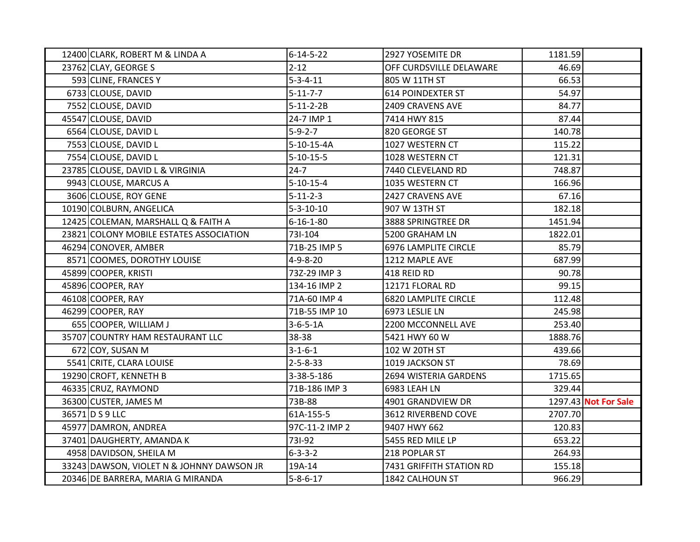| 12400 CLARK, ROBERT M & LINDA A           | $6 - 14 - 5 - 22$ | 2927 YOSEMITE DR            | 1181.59 |                      |
|-------------------------------------------|-------------------|-----------------------------|---------|----------------------|
| 23762 CLAY, GEORGE S                      | $2 - 12$          | OFF CURDSVILLE DELAWARE     | 46.69   |                      |
| 593 CLINE, FRANCES Y                      | $5 - 3 - 4 - 11$  | 805 W 11TH ST               | 66.53   |                      |
| 6733 CLOUSE, DAVID                        | $5 - 11 - 7 - 7$  | 614 POINDEXTER ST           | 54.97   |                      |
| 7552 CLOUSE, DAVID                        | $5-11-2-2B$       | 2409 CRAVENS AVE            | 84.77   |                      |
| 45547 CLOUSE, DAVID                       | 24-7 IMP 1        | 7414 HWY 815                | 87.44   |                      |
| 6564 CLOUSE, DAVID L                      | $5-9-2-7$         | 820 GEORGE ST               | 140.78  |                      |
| 7553 CLOUSE, DAVID L                      | 5-10-15-4A        | 1027 WESTERN CT             | 115.22  |                      |
| 7554 CLOUSE, DAVID L                      | $5 - 10 - 15 - 5$ | 1028 WESTERN CT             | 121.31  |                      |
| 23785 CLOUSE, DAVID L & VIRGINIA          | $24 - 7$          | 7440 CLEVELAND RD           | 748.87  |                      |
| 9943 CLOUSE, MARCUS A                     | $5 - 10 - 15 - 4$ | 1035 WESTERN CT             | 166.96  |                      |
| 3606 CLOUSE, ROY GENE                     | $5 - 11 - 2 - 3$  | 2427 CRAVENS AVE            | 67.16   |                      |
| 10190 COLBURN, ANGELICA                   | $5 - 3 - 10 - 10$ | 907 W 13TH ST               | 182.18  |                      |
| 12425 COLEMAN, MARSHALL Q & FAITH A       | $6 - 16 - 1 - 80$ | 3888 SPRINGTREE DR          | 1451.94 |                      |
| 23821 COLONY MOBILE ESTATES ASSOCIATION   | 73I-104           | 5200 GRAHAM LN              | 1822.01 |                      |
| 46294 CONOVER, AMBER                      | 71B-25 IMP 5      | <b>6976 LAMPLITE CIRCLE</b> | 85.79   |                      |
| 8571 COOMES, DOROTHY LOUISE               | $4 - 9 - 8 - 20$  | 1212 MAPLE AVE              | 687.99  |                      |
| 45899 COOPER, KRISTI                      | 73Z-29 IMP 3      | 418 REID RD                 | 90.78   |                      |
| 45896 COOPER, RAY                         | 134-16 IMP 2      | 12171 FLORAL RD             | 99.15   |                      |
| 46108 COOPER, RAY                         | 71A-60 IMP 4      | <b>6820 LAMPLITE CIRCLE</b> | 112.48  |                      |
| 46299 COOPER, RAY                         | 71B-55 IMP 10     | 6973 LESLIE LN              | 245.98  |                      |
| 655 COOPER, WILLIAM J                     | $3-6-5-1A$        | 2200 MCCONNELL AVE          | 253.40  |                      |
| 35707 COUNTRY HAM RESTAURANT LLC          | 38-38             | 5421 HWY 60 W               | 1888.76 |                      |
| 672 COY, SUSAN M                          | $3 - 1 - 6 - 1$   | 102 W 20TH ST               | 439.66  |                      |
| 5541 CRITE, CLARA LOUISE                  | $2 - 5 - 8 - 33$  | 1019 JACKSON ST             | 78.69   |                      |
| 19290 CROFT, KENNETH B                    | 3-38-5-186        | 2694 WISTERIA GARDENS       | 1715.65 |                      |
| 46335 CRUZ, RAYMOND                       | 71B-186 IMP 3     | 6983 LEAH LN                | 329.44  |                      |
| 36300 CUSTER, JAMES M                     | 73B-88            | 4901 GRANDVIEW DR           |         | 1297.43 Not For Sale |
| 36571 D S 9 LLC                           | 61A-155-5         | 3612 RIVERBEND COVE         | 2707.70 |                      |
| 45977 DAMRON, ANDREA                      | 97C-11-2 IMP 2    | 9407 HWY 662                | 120.83  |                      |
| 37401 DAUGHERTY, AMANDA K                 | 731-92            | 5455 RED MILE LP            | 653.22  |                      |
| 4958 DAVIDSON, SHEILA M                   | $6 - 3 - 3 - 2$   | 218 POPLAR ST               | 264.93  |                      |
| 33243 DAWSON, VIOLET N & JOHNNY DAWSON JR | 19A-14            | 7431 GRIFFITH STATION RD    | 155.18  |                      |
| 20346 DE BARRERA, MARIA G MIRANDA         | $5 - 8 - 6 - 17$  | 1842 CALHOUN ST             | 966.29  |                      |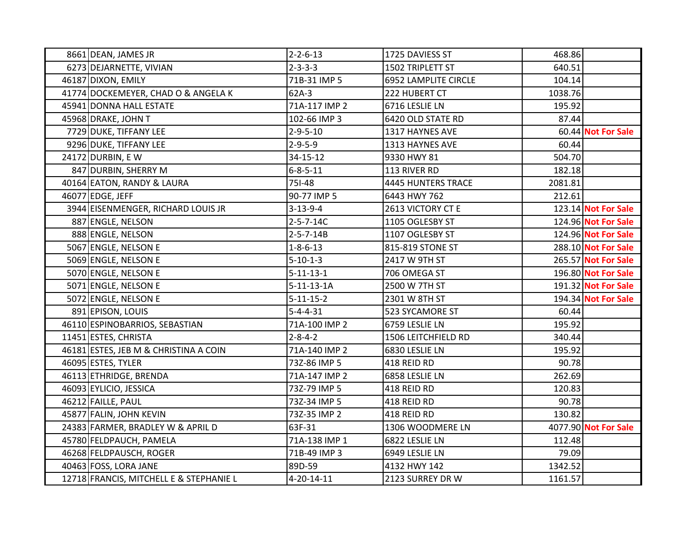| 8661 DEAN, JAMES JR                     | $2 - 2 - 6 - 13$   | 1725 DAVIESS ST      | 468.86  |                      |
|-----------------------------------------|--------------------|----------------------|---------|----------------------|
| 6273 DEJARNETTE, VIVIAN                 | $2 - 3 - 3 - 3$    | 1502 TRIPLETT ST     | 640.51  |                      |
| 46187 DIXON, EMILY                      | 71B-31 IMP 5       | 6952 LAMPLITE CIRCLE | 104.14  |                      |
| 41774 DOCKEMEYER, CHAD O & ANGELA K     | 62A-3              | 222 HUBERT CT        | 1038.76 |                      |
| 45941 DONNA HALL ESTATE                 | 71A-117 IMP 2      | 6716 LESLIE LN       | 195.92  |                      |
| 45968 DRAKE, JOHN T                     | 102-66 IMP 3       | 6420 OLD STATE RD    | 87.44   |                      |
| 7729 DUKE, TIFFANY LEE                  | $2 - 9 - 5 - 10$   | 1317 HAYNES AVE      |         | 60.44 Not For Sale   |
| 9296 DUKE, TIFFANY LEE                  | $2 - 9 - 5 - 9$    | 1313 HAYNES AVE      | 60.44   |                      |
| 24172 DURBIN, E W                       | 34-15-12           | 9330 HWY 81          | 504.70  |                      |
| 847 DURBIN, SHERRY M                    | $6 - 8 - 5 - 11$   | 113 RIVER RD         | 182.18  |                      |
| 40164 EATON, RANDY & LAURA              | 751-48             | 4445 HUNTERS TRACE   | 2081.81 |                      |
| 46077 EDGE, JEFF                        | 90-77 IMP 5        | 6443 HWY 762         | 212.61  |                      |
| 3944 EISENMENGER, RICHARD LOUIS JR      | $3 - 13 - 9 - 4$   | 2613 VICTORY CT E    |         | 123.14 Not For Sale  |
| 887 ENGLE, NELSON                       | $2 - 5 - 7 - 14C$  | 1105 OGLESBY ST      |         | 124.96 Not For Sale  |
| 888 ENGLE, NELSON                       | $2 - 5 - 7 - 14B$  | 1107 OGLESBY ST      |         | 124.96 Not For Sale  |
| 5067 ENGLE, NELSON E                    | $1 - 8 - 6 - 13$   | 815-819 STONE ST     |         | 288.10 Not For Sale  |
| 5069 ENGLE, NELSON E                    | $5 - 10 - 1 - 3$   | 2417 W 9TH ST        |         | 265.57 Not For Sale  |
| 5070 ENGLE, NELSON E                    | $5 - 11 - 13 - 1$  | 706 OMEGA ST         |         | 196.80 Not For Sale  |
| 5071 ENGLE, NELSON E                    | $5 - 11 - 13 - 1A$ | 2500 W 7TH ST        |         | 191.32 Not For Sale  |
| 5072 ENGLE, NELSON E                    | $5 - 11 - 15 - 2$  | 2301 W 8TH ST        |         | 194.34 Not For Sale  |
| 891 EPISON, LOUIS                       | $5 - 4 - 4 - 31$   | 523 SYCAMORE ST      | 60.44   |                      |
| 46110 ESPINOBARRIOS, SEBASTIAN          | 71A-100 IMP 2      | 6759 LESLIE LN       | 195.92  |                      |
| 11451 ESTES, CHRISTA                    | $2 - 8 - 4 - 2$    | 1506 LEITCHFIELD RD  | 340.44  |                      |
| 46181 ESTES, JEB M & CHRISTINA A COIN   | 71A-140 IMP 2      | 6830 LESLIE LN       | 195.92  |                      |
| 46095 ESTES, TYLER                      | 73Z-86 IMP 5       | 418 REID RD          | 90.78   |                      |
| 46113 ETHRIDGE, BRENDA                  | 71A-147 IMP 2      | 6858 LESLIE LN       | 262.69  |                      |
| 46093 EYLICIO, JESSICA                  | 73Z-79 IMP 5       | 418 REID RD          | 120.83  |                      |
| 46212 FAILLE, PAUL                      | 73Z-34 IMP 5       | 418 REID RD          | 90.78   |                      |
| 45877 FALIN, JOHN KEVIN                 | 73Z-35 IMP 2       | 418 REID RD          | 130.82  |                      |
| 24383 FARMER, BRADLEY W & APRIL D       | 63F-31             | 1306 WOODMERE LN     |         | 4077.90 Not For Sale |
| 45780 FELDPAUCH, PAMELA                 | 71A-138 IMP 1      | 6822 LESLIE LN       | 112.48  |                      |
| 46268 FELDPAUSCH, ROGER                 | 71B-49 IMP 3       | 6949 LESLIE LN       | 79.09   |                      |
| 40463 FOSS, LORA JANE                   | 89D-59             | 4132 HWY 142         | 1342.52 |                      |
| 12718 FRANCIS, MITCHELL E & STEPHANIE L | 4-20-14-11         | 2123 SURREY DR W     | 1161.57 |                      |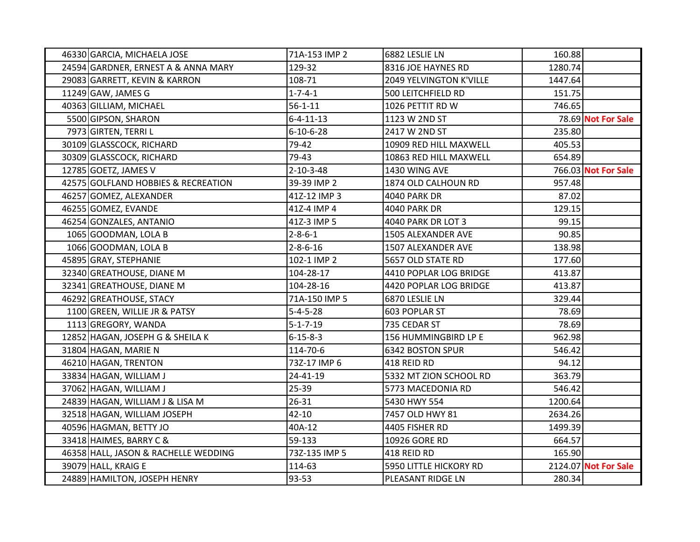| 46330 GARCIA, MICHAELA JOSE          | 71A-153 IMP 2     | 6882 LESLIE LN          | 160.88  |                      |
|--------------------------------------|-------------------|-------------------------|---------|----------------------|
| 24594 GARDNER, ERNEST A & ANNA MARY  | 129-32            | 8316 JOE HAYNES RD      | 1280.74 |                      |
| 29083 GARRETT, KEVIN & KARRON        | 108-71            | 2049 YELVINGTON K'VILLE | 1447.64 |                      |
| 11249 GAW, JAMES G                   | $1 - 7 - 4 - 1$   | 500 LEITCHFIELD RD      | 151.75  |                      |
| 40363 GILLIAM, MICHAEL               | $56 - 1 - 11$     | 1026 PETTIT RD W        | 746.65  |                      |
| 5500 GIPSON, SHARON                  | $6 - 4 - 11 - 13$ | 1123 W 2ND ST           |         | 78.69 Not For Sale   |
| 7973 GIRTEN, TERRI L                 | $6 - 10 - 6 - 28$ | 2417 W 2ND ST           | 235.80  |                      |
| 30109 GLASSCOCK, RICHARD             | 79-42             | 10909 RED HILL MAXWELL  | 405.53  |                      |
| 30309 GLASSCOCK, RICHARD             | 79-43             | 10863 RED HILL MAXWELL  | 654.89  |                      |
| 12785 GOETZ, JAMES V                 | $2 - 10 - 3 - 48$ | 1430 WING AVE           |         | 766.03 Not For Sale  |
| 42575 GOLFLAND HOBBIES & RECREATION  | 39-39 IMP 2       | 1874 OLD CALHOUN RD     | 957.48  |                      |
| 46257 GOMEZ, ALEXANDER               | 41Z-12 IMP 3      | 4040 PARK DR            | 87.02   |                      |
| 46255 GOMEZ, EVANDE                  | 41Z-4 IMP 4       | <b>4040 PARK DR</b>     | 129.15  |                      |
| 46254 GONZALES, ANTANIO              | 41Z-3 IMP 5       | 4040 PARK DR LOT 3      | 99.15   |                      |
| 1065 GOODMAN, LOLA B                 | $2 - 8 - 6 - 1$   | 1505 ALEXANDER AVE      | 90.85   |                      |
| 1066 GOODMAN, LOLA B                 | $2 - 8 - 6 - 16$  | 1507 ALEXANDER AVE      | 138.98  |                      |
| 45895 GRAY, STEPHANIE                | 102-1 IMP 2       | 5657 OLD STATE RD       | 177.60  |                      |
| 32340 GREATHOUSE, DIANE M            | 104-28-17         | 4410 POPLAR LOG BRIDGE  | 413.87  |                      |
| 32341 GREATHOUSE, DIANE M            | 104-28-16         | 4420 POPLAR LOG BRIDGE  | 413.87  |                      |
| 46292 GREATHOUSE, STACY              | 71A-150 IMP 5     | 6870 LESLIE LN          | 329.44  |                      |
| 1100 GREEN, WILLIE JR & PATSY        | $5 - 4 - 5 - 28$  | 603 POPLAR ST           | 78.69   |                      |
| 1113 GREGORY, WANDA                  | $5 - 1 - 7 - 19$  | 735 CEDAR ST            | 78.69   |                      |
| 12852 HAGAN, JOSEPH G & SHEILA K     | $6 - 15 - 8 - 3$  | 156 HUMMINGBIRD LP E    | 962.98  |                      |
| 31804 HAGAN, MARIE N                 | 114-70-6          | 6342 BOSTON SPUR        | 546.42  |                      |
| 46210 HAGAN, TRENTON                 | 73Z-17 IMP 6      | 418 REID RD             | 94.12   |                      |
| 33834 HAGAN, WILLIAM J               | 24-41-19          | 5332 MT ZION SCHOOL RD  | 363.79  |                      |
| 37062 HAGAN, WILLIAM J               | 25-39             | 5773 MACEDONIA RD       | 546.42  |                      |
| 24839 HAGAN, WILLIAM J & LISA M      | $26 - 31$         | 5430 HWY 554            | 1200.64 |                      |
| 32518 HAGAN, WILLIAM JOSEPH          | $42 - 10$         | 7457 OLD HWY 81         | 2634.26 |                      |
| 40596 HAGMAN, BETTY JO               | 40A-12            | 4405 FISHER RD          | 1499.39 |                      |
| 33418 HAIMES, BARRY C &              | 59-133            | 10926 GORE RD           | 664.57  |                      |
| 46358 HALL, JASON & RACHELLE WEDDING | 73Z-135 IMP 5     | 418 REID RD             | 165.90  |                      |
| 39079 HALL, KRAIG E                  | 114-63            | 5950 LITTLE HICKORY RD  |         | 2124.07 Not For Sale |
| 24889 HAMILTON, JOSEPH HENRY         | 93-53             | PLEASANT RIDGE LN       | 280.34  |                      |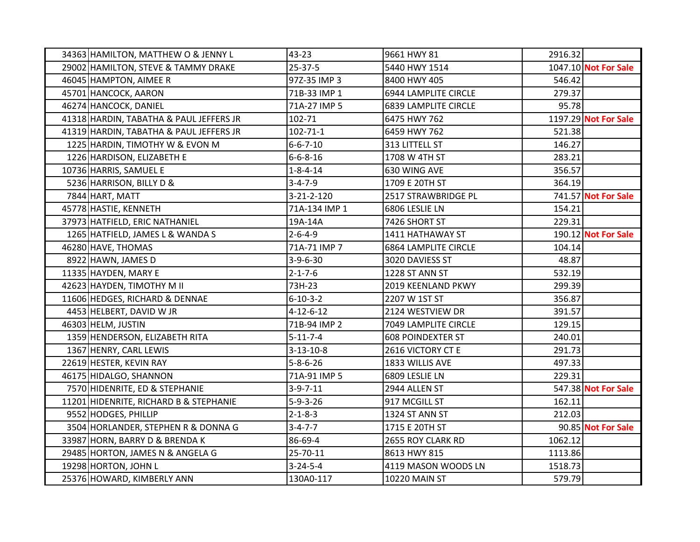| 34363 HAMILTON, MATTHEW O & JENNY L     | 43-23             | 9661 HWY 81                 | 2916.32 |                      |
|-----------------------------------------|-------------------|-----------------------------|---------|----------------------|
| 29002 HAMILTON, STEVE & TAMMY DRAKE     | $25 - 37 - 5$     | 5440 HWY 1514               |         | 1047.10 Not For Sale |
| 46045 HAMPTON, AIMEE R                  | 97Z-35 IMP 3      | 8400 HWY 405                | 546.42  |                      |
| 45701 HANCOCK, AARON                    | 71B-33 IMP 1      | 6944 LAMPLITE CIRCLE        | 279.37  |                      |
| 46274 HANCOCK, DANIEL                   | 71A-27 IMP 5      | <b>6839 LAMPLITE CIRCLE</b> | 95.78   |                      |
| 41318 HARDIN, TABATHA & PAUL JEFFERS JR | 102-71            | 6475 HWY 762                |         | 1197.29 Not For Sale |
| 41319 HARDIN, TABATHA & PAUL JEFFERS JR | $102 - 71 - 1$    | 6459 HWY 762                | 521.38  |                      |
| 1225 HARDIN, TIMOTHY W & EVON M         | $6 - 6 - 7 - 10$  | 313 LITTELL ST              | 146.27  |                      |
| 1226 HARDISON, ELIZABETH E              | $6 - 6 - 8 - 16$  | 1708 W 4TH ST               | 283.21  |                      |
| 10736 HARRIS, SAMUEL E                  | $1 - 8 - 4 - 14$  | 630 WING AVE                | 356.57  |                      |
| 5236 HARRISON, BILLY D &                | $3 - 4 - 7 - 9$   | 1709 E 20TH ST              | 364.19  |                      |
| 7844 HART, MATT                         | 3-21-2-120        | 2517 STRAWBRIDGE PL         |         | 741.57 Not For Sale  |
| 45778 HASTIE, KENNETH                   | 71A-134 IMP 1     | 6806 LESLIE LN              | 154.21  |                      |
| 37973 HATFIELD, ERIC NATHANIEL          | 19A-14A           | 7426 SHORT ST               | 229.31  |                      |
| 1265 HATFIELD, JAMES L & WANDA S        | $2 - 6 - 4 - 9$   | 1411 HATHAWAY ST            |         | 190.12 Not For Sale  |
| 46280 HAVE, THOMAS                      | 71A-71 IMP 7      | <b>6864 LAMPLITE CIRCLE</b> | 104.14  |                      |
| 8922 HAWN, JAMES D                      | $3-9-6-30$        | 3020 DAVIESS ST             | 48.87   |                      |
| 11335 HAYDEN, MARY E                    | $2 - 1 - 7 - 6$   | 1228 ST ANN ST              | 532.19  |                      |
| 42623 HAYDEN, TIMOTHY M II              | 73H-23            | 2019 KEENLAND PKWY          | 299.39  |                      |
| 11606 HEDGES, RICHARD & DENNAE          | $6 - 10 - 3 - 2$  | 2207 W 1ST ST               | 356.87  |                      |
| 4453 HELBERT, DAVID W JR                | $4 - 12 - 6 - 12$ | 2124 WESTVIEW DR            | 391.57  |                      |
| 46303 HELM, JUSTIN                      | 71B-94 IMP 2      | 7049 LAMPLITE CIRCLE        | 129.15  |                      |
| 1359 HENDERSON, ELIZABETH RITA          | $5 - 11 - 7 - 4$  | <b>608 POINDEXTER ST</b>    | 240.01  |                      |
| 1367 HENRY, CARL LEWIS                  | $3 - 13 - 10 - 8$ | 2616 VICTORY CT E           | 291.73  |                      |
| 22619 HESTER, KEVIN RAY                 | $5 - 8 - 6 - 26$  | 1833 WILLIS AVE             | 497.33  |                      |
| 46175 HIDALGO, SHANNON                  | 71A-91 IMP 5      | 6809 LESLIE LN              | 229.31  |                      |
| 7570 HIDENRITE, ED & STEPHANIE          | $3-9-7-11$        | 2944 ALLEN ST               |         | 547.38 Not For Sale  |
| 11201 HIDENRITE, RICHARD B & STEPHANIE  | $5-9-3-26$        | 917 MCGILL ST               | 162.11  |                      |
| 9552 HODGES, PHILLIP                    | $2 - 1 - 8 - 3$   | 1324 ST ANN ST              | 212.03  |                      |
| 3504 HORLANDER, STEPHEN R & DONNA G     | $3 - 4 - 7 - 7$   | 1715 E 20TH ST              |         | 90.85 Not For Sale   |
| 33987 HORN, BARRY D & BRENDA K          | 86-69-4           | 2655 ROY CLARK RD           | 1062.12 |                      |
| 29485 HORTON, JAMES N & ANGELA G        | 25-70-11          | 8613 HWY 815                | 1113.86 |                      |
| 19298 HORTON, JOHN L                    | $3 - 24 - 5 - 4$  | 4119 MASON WOODS LN         | 1518.73 |                      |
| 25376 HOWARD, KIMBERLY ANN              | 130A0-117         | <b>10220 MAIN ST</b>        | 579.79  |                      |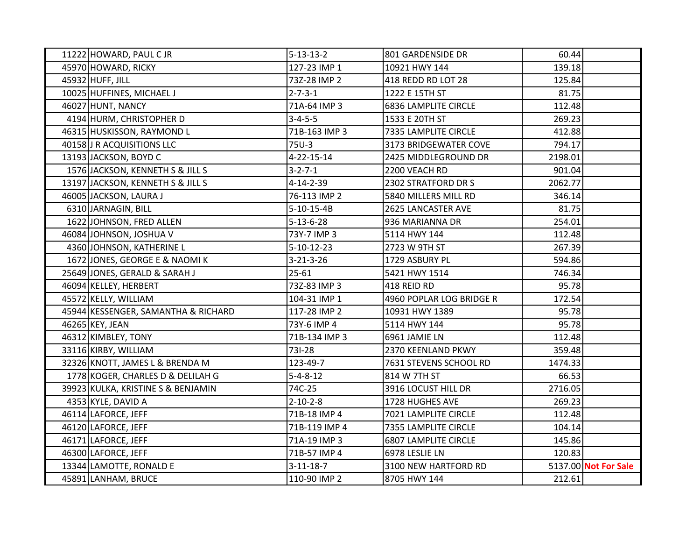| 11222 HOWARD, PAUL CJR              | $5 - 13 - 13 - 2$  | 801 GARDENSIDE DR           | 60.44   |                      |
|-------------------------------------|--------------------|-----------------------------|---------|----------------------|
| 45970 HOWARD, RICKY                 | 127-23 IMP 1       | 10921 HWY 144               | 139.18  |                      |
| 45932 HUFF, JILL                    | 73Z-28 IMP 2       | 418 REDD RD LOT 28          | 125.84  |                      |
| 10025 HUFFINES, MICHAEL J           | $2 - 7 - 3 - 1$    | 1222 E 15TH ST              | 81.75   |                      |
| 46027 HUNT, NANCY                   | 71A-64 IMP 3       | <b>6836 LAMPLITE CIRCLE</b> | 112.48  |                      |
| 4194 HURM, CHRISTOPHER D            | $3 - 4 - 5 - 5$    | 1533 E 20TH ST              | 269.23  |                      |
| 46315 HUSKISSON, RAYMOND L          | 71B-163 IMP 3      | 7335 LAMPLITE CIRCLE        | 412.88  |                      |
| 40158 J R ACQUISITIONS LLC          | 75U-3              | 3173 BRIDGEWATER COVE       | 794.17  |                      |
| 13193 JACKSON, BOYD C               | 4-22-15-14         | 2425 MIDDLEGROUND DR        | 2198.01 |                      |
| 1576 JACKSON, KENNETH S & JILL S    | $3 - 2 - 7 - 1$    | 2200 VEACH RD               | 901.04  |                      |
| 13197 JACKSON, KENNETH S & JILL S   | 4-14-2-39          | 2302 STRATFORD DR S         | 2062.77 |                      |
| 46005 JACKSON, LAURA J              | 76-113 IMP 2       | 5840 MILLERS MILL RD        | 346.14  |                      |
| 6310 JARNAGIN, BILL                 | $5-10-15-4B$       | 2625 LANCASTER AVE          | 81.75   |                      |
| 1622 JOHNSON, FRED ALLEN            | $5 - 13 - 6 - 28$  | 936 MARIANNA DR             | 254.01  |                      |
| 46084 JOHNSON, JOSHUA V             | 73Y-7 IMP 3        | 5114 HWY 144                | 112.48  |                      |
| 4360 JOHNSON, KATHERINE L           | $5 - 10 - 12 - 23$ | 2723 W 9TH ST               | 267.39  |                      |
| 1672 JONES, GEORGE E & NAOMI K      | $3 - 21 - 3 - 26$  | 1729 ASBURY PL              | 594.86  |                      |
| 25649 JONES, GERALD & SARAH J       | $25 - 61$          | 5421 HWY 1514               | 746.34  |                      |
| 46094 KELLEY, HERBERT               | 73Z-83 IMP 3       | 418 REID RD                 | 95.78   |                      |
| 45572 KELLY, WILLIAM                | 104-31 IMP 1       | 4960 POPLAR LOG BRIDGE R    | 172.54  |                      |
| 45944 KESSENGER, SAMANTHA & RICHARD | 117-28 IMP 2       | 10931 HWY 1389              | 95.78   |                      |
| 46265 KEY, JEAN                     | 73Y-6 IMP 4        | 5114 HWY 144                | 95.78   |                      |
| 46312 KIMBLEY, TONY                 | 71B-134 IMP 3      | 6961 JAMIE LN               | 112.48  |                      |
| 33116 KIRBY, WILLIAM                | 731-28             | 2370 KEENLAND PKWY          | 359.48  |                      |
| 32326 KNOTT, JAMES L & BRENDA M     | 123-49-7           | 7631 STEVENS SCHOOL RD      | 1474.33 |                      |
| 1778 KOGER, CHARLES D & DELILAH G   | $5 - 4 - 8 - 12$   | 814 W 7TH ST                | 66.53   |                      |
| 39923 KULKA, KRISTINE S & BENJAMIN  | 74C-25             | 3916 LOCUST HILL DR         | 2716.05 |                      |
| 4353 KYLE, DAVID A                  | $2 - 10 - 2 - 8$   | 1728 HUGHES AVE             | 269.23  |                      |
| 46114 LAFORCE, JEFF                 | 71B-18 IMP 4       | 7021 LAMPLITE CIRCLE        | 112.48  |                      |
| 46120 LAFORCE, JEFF                 | 71B-119 IMP 4      | 7355 LAMPLITE CIRCLE        | 104.14  |                      |
| 46171 LAFORCE, JEFF                 | 71A-19 IMP 3       | <b>6807 LAMPLITE CIRCLE</b> | 145.86  |                      |
| 46300 LAFORCE, JEFF                 | 71B-57 IMP 4       | 6978 LESLIE LN              | 120.83  |                      |
| 13344 LAMOTTE, RONALD E             | $3-11-18-7$        | 3100 NEW HARTFORD RD        |         | 5137.00 Not For Sale |
| 45891 LANHAM, BRUCE                 | 110-90 IMP 2       | 8705 HWY 144                | 212.61  |                      |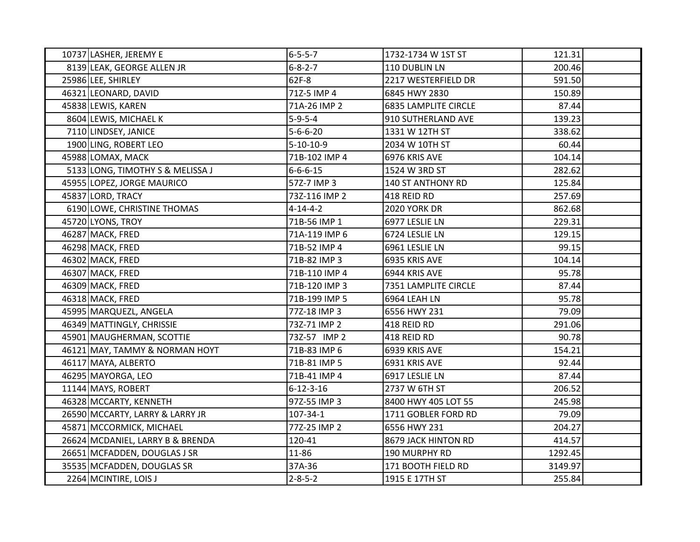| 10737 LASHER, JEREMY E           | $6 - 5 - 5 - 7$   | 1732-1734 W 1ST ST          | 121.31  |  |
|----------------------------------|-------------------|-----------------------------|---------|--|
| 8139 LEAK, GEORGE ALLEN JR       | $6 - 8 - 2 - 7$   | 110 DUBLIN LN               | 200.46  |  |
| 25986 LEE, SHIRLEY               | 62F-8             | 2217 WESTERFIELD DR         | 591.50  |  |
| 46321 LEONARD, DAVID             | 71Z-5 IMP 4       | 6845 HWY 2830               | 150.89  |  |
| 45838 LEWIS, KAREN               | 71A-26 IMP 2      | <b>6835 LAMPLITE CIRCLE</b> | 87.44   |  |
| 8604 LEWIS, MICHAEL K            | $5-9-5-4$         | 910 SUTHERLAND AVE          | 139.23  |  |
| 7110 LINDSEY, JANICE             | $5 - 6 - 6 - 20$  | 1331 W 12TH ST              | 338.62  |  |
| 1900 LING, ROBERT LEO            | $5-10-10-9$       | 2034 W 10TH ST              | 60.44   |  |
| 45988 LOMAX, MACK                | 71B-102 IMP 4     | 6976 KRIS AVE               | 104.14  |  |
| 5133 LONG, TIMOTHY S & MELISSA J | $6 - 6 - 6 - 15$  | 1524 W 3RD ST               | 282.62  |  |
| 45955 LOPEZ, JORGE MAURICO       | 57Z-7 IMP 3       | 140 ST ANTHONY RD           | 125.84  |  |
| 45837 LORD, TRACY                | 73Z-116 IMP 2     | 418 REID RD                 | 257.69  |  |
| 6190 LOWE, CHRISTINE THOMAS      | $4 - 14 - 4 - 2$  | <b>2020 YORK DR</b>         | 862.68  |  |
| 45720 LYONS, TROY                | 71B-56 IMP 1      | 6977 LESLIE LN              | 229.31  |  |
| 46287 MACK, FRED                 | 71A-119 IMP 6     | 6724 LESLIE LN              | 129.15  |  |
| 46298 MACK, FRED                 | 71B-52 IMP 4      | 6961 LESLIE LN              | 99.15   |  |
| 46302 MACK, FRED                 | 71B-82 IMP 3      | 6935 KRIS AVE               | 104.14  |  |
| 46307 MACK, FRED                 | 71B-110 IMP 4     | 6944 KRIS AVE               | 95.78   |  |
| 46309 MACK, FRED                 | 71B-120 IMP 3     | 7351 LAMPLITE CIRCLE        | 87.44   |  |
| 46318 MACK, FRED                 | 71B-199 IMP 5     | 6964 LEAH LN                | 95.78   |  |
| 45995 MARQUEZL, ANGELA           | 77Z-18 IMP 3      | 6556 HWY 231                | 79.09   |  |
| 46349 MATTINGLY, CHRISSIE        | 73Z-71 IMP 2      | 418 REID RD                 | 291.06  |  |
| 45901 MAUGHERMAN, SCOTTIE        | 73Z-57 IMP 2      | 418 REID RD                 | 90.78   |  |
| 46121 MAY, TAMMY & NORMAN HOYT   | 71B-83 IMP 6      | 6939 KRIS AVE               | 154.21  |  |
| 46117 MAYA, ALBERTO              | 71B-81 IMP 5      | 6931 KRIS AVE               | 92.44   |  |
| 46295 MAYORGA, LEO               | 71B-41 IMP 4      | 6917 LESLIE LN              | 87.44   |  |
| 11144 MAYS, ROBERT               | $6 - 12 - 3 - 16$ | 2737 W 6TH ST               | 206.52  |  |
| 46328 MCCARTY, KENNETH           | 97Z-55 IMP 3      | 8400 HWY 405 LOT 55         | 245.98  |  |
| 26590 MCCARTY, LARRY & LARRY JR  | 107-34-1          | 1711 GOBLER FORD RD         | 79.09   |  |
| 45871 MCCORMICK, MICHAEL         | 77Z-25 IMP 2      | 6556 HWY 231                | 204.27  |  |
| 26624 MCDANIEL, LARRY B & BRENDA | 120-41            | 8679 JACK HINTON RD         | 414.57  |  |
| 26651 MCFADDEN, DOUGLAS J SR     | 11-86             | 190 MURPHY RD               | 1292.45 |  |
| 35535 MCFADDEN, DOUGLAS SR       | 37A-36            | 171 BOOTH FIELD RD          | 3149.97 |  |
| 2264 MCINTIRE, LOIS J            | $2 - 8 - 5 - 2$   | 1915 E 17TH ST              | 255.84  |  |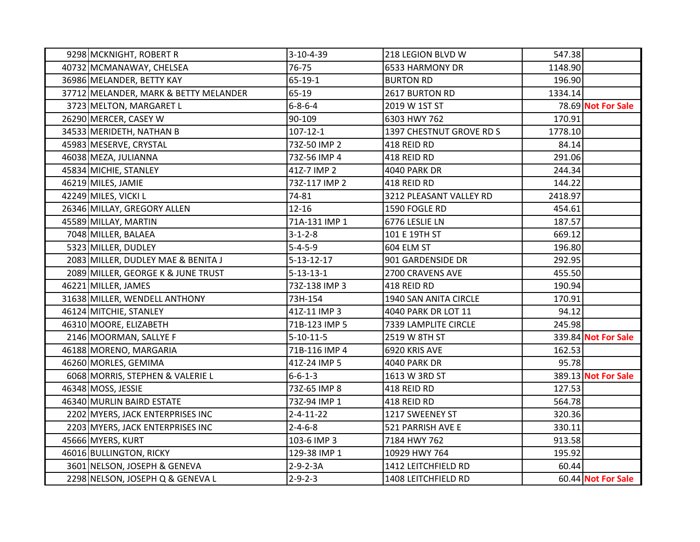| 9298 MCKNIGHT, ROBERT R               | $3-10-4-39$        | 218 LEGION BLVD W        | 547.38  |                     |
|---------------------------------------|--------------------|--------------------------|---------|---------------------|
| 40732 MCMANAWAY, CHELSEA              | 76-75              | 6533 HARMONY DR          | 1148.90 |                     |
| 36986 MELANDER, BETTY KAY             | 65-19-1            | <b>BURTON RD</b>         | 196.90  |                     |
| 37712 MELANDER, MARK & BETTY MELANDER | 65-19              | 2617 BURTON RD           | 1334.14 |                     |
| 3723 MELTON, MARGARET L               | $6 - 8 - 6 - 4$    | 2019 W 1ST ST            |         | 78.69 Not For Sale  |
| 26290 MERCER, CASEY W                 | 90-109             | 6303 HWY 762             | 170.91  |                     |
| 34533 MERIDETH, NATHAN B              | $107 - 12 - 1$     | 1397 CHESTNUT GROVE RD S | 1778.10 |                     |
| 45983 MESERVE, CRYSTAL                | 73Z-50 IMP 2       | 418 REID RD              | 84.14   |                     |
| 46038 MEZA, JULIANNA                  | 73Z-56 IMP 4       | 418 REID RD              | 291.06  |                     |
| 45834 MICHIE, STANLEY                 | 41Z-7 IMP 2        | <b>4040 PARK DR</b>      | 244.34  |                     |
| 46219 MILES, JAMIE                    | 73Z-117 IMP 2      | 418 REID RD              | 144.22  |                     |
| 42249 MILES, VICKI L                  | 74-81              | 3212 PLEASANT VALLEY RD  | 2418.97 |                     |
| 26346 MILLAY, GREGORY ALLEN           | $12 - 16$          | 1590 FOGLE RD            | 454.61  |                     |
| 45589 MILLAY, MARTIN                  | 71A-131 IMP 1      | 6776 LESLIE LN           | 187.57  |                     |
| 7048 MILLER, BALAEA                   | $3 - 1 - 2 - 8$    | 101 E 19TH ST            | 669.12  |                     |
| 5323 MILLER, DUDLEY                   | $5 - 4 - 5 - 9$    | 604 ELM ST               | 196.80  |                     |
| 2083 MILLER, DUDLEY MAE & BENITA J    | $5 - 13 - 12 - 17$ | 901 GARDENSIDE DR        | 292.95  |                     |
| 2089 MILLER, GEORGE K & JUNE TRUST    | $5 - 13 - 13 - 1$  | 2700 CRAVENS AVE         | 455.50  |                     |
| 46221 MILLER, JAMES                   | 73Z-138 IMP 3      | 418 REID RD              | 190.94  |                     |
| 31638 MILLER, WENDELL ANTHONY         | 73H-154            | 1940 SAN ANITA CIRCLE    | 170.91  |                     |
| 46124 MITCHIE, STANLEY                | 41Z-11 IMP 3       | 4040 PARK DR LOT 11      | 94.12   |                     |
| 46310 MOORE, ELIZABETH                | 71B-123 IMP 5      | 7339 LAMPLITE CIRCLE     | 245.98  |                     |
| 2146 MOORMAN, SALLYE F                | $5 - 10 - 11 - 5$  | 2519 W 8TH ST            |         | 339.84 Not For Sale |
| 46188 MORENO, MARGARIA                | 71B-116 IMP 4      | 6920 KRIS AVE            | 162.53  |                     |
| 46260 MORLES, GEMIMA                  | 41Z-24 IMP 5       | <b>4040 PARK DR</b>      | 95.78   |                     |
| 6068 MORRIS, STEPHEN & VALERIE L      | $6 - 6 - 1 - 3$    | 1613 W 3RD ST            |         | 389.13 Not For Sale |
| 46348 MOSS, JESSIE                    | 73Z-65 IMP 8       | 418 REID RD              | 127.53  |                     |
| 46340 MURLIN BAIRD ESTATE             | 73Z-94 IMP 1       | 418 REID RD              | 564.78  |                     |
| 2202 MYERS, JACK ENTERPRISES INC      | $2 - 4 - 11 - 22$  | 1217 SWEENEY ST          | 320.36  |                     |
| 2203 MYERS, JACK ENTERPRISES INC      | $2 - 4 - 6 - 8$    | 521 PARRISH AVE E        | 330.11  |                     |
| 45666 MYERS, KURT                     | 103-6 IMP 3        | 7184 HWY 762             | 913.58  |                     |
| 46016 BULLINGTON, RICKY               | 129-38 IMP 1       | 10929 HWY 764            | 195.92  |                     |
| 3601 NELSON, JOSEPH & GENEVA          | $2 - 9 - 2 - 3A$   | 1412 LEITCHFIELD RD      | 60.44   |                     |
| 2298 NELSON, JOSEPH Q & GENEVA L      | $2 - 9 - 2 - 3$    | 1408 LEITCHFIELD RD      |         | 60.44 Not For Sale  |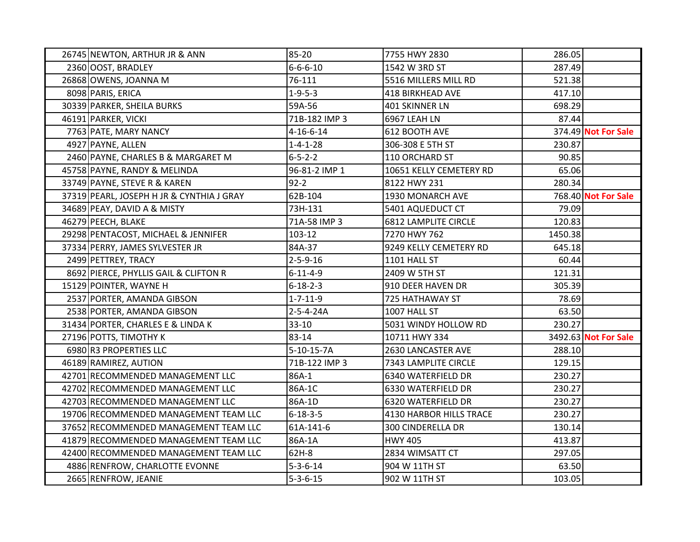| 26745 NEWTON, ARTHUR JR & ANN             | 85-20             | 7755 HWY 2830               | 286.05  |                      |
|-------------------------------------------|-------------------|-----------------------------|---------|----------------------|
| 2360 OOST, BRADLEY                        | $6 - 6 - 6 - 10$  | 1542 W 3RD ST               | 287.49  |                      |
| 26868 OWENS, JOANNA M                     | 76-111            | 5516 MILLERS MILL RD        | 521.38  |                      |
| 8098 PARIS, ERICA                         | $1 - 9 - 5 - 3$   | 418 BIRKHEAD AVE            | 417.10  |                      |
| 30339 PARKER, SHEILA BURKS                | 59A-56            | 401 SKINNER LN              | 698.29  |                      |
| 46191 PARKER, VICKI                       | 71B-182 IMP 3     | 6967 LEAH LN                | 87.44   |                      |
| 7763 PATE, MARY NANCY                     | $4 - 16 - 6 - 14$ | 612 BOOTH AVE               |         | 374.49 Not For Sale  |
| 4927 PAYNE, ALLEN                         | $1 - 4 - 1 - 28$  | 306-308 E 5TH ST            | 230.87  |                      |
| 2460 PAYNE, CHARLES B & MARGARET M        | $6 - 5 - 2 - 2$   | 110 ORCHARD ST              | 90.85   |                      |
| 45758 PAYNE, RANDY & MELINDA              | 96-81-2 IMP 1     | 10651 KELLY CEMETERY RD     | 65.06   |                      |
| 33749 PAYNE, STEVE R & KAREN              | $92 - 2$          | 8122 HWY 231                | 280.34  |                      |
| 37319 PEARL, JOSEPH H JR & CYNTHIA J GRAY | 62B-104           | 1930 MONARCH AVE            |         | 768.40 Not For Sale  |
| 34689 PEAY, DAVID A & MISTY               | 73H-131           | 5401 AQUEDUCT CT            | 79.09   |                      |
| 46279 PEECH, BLAKE                        | 71A-58 IMP 3      | <b>6812 LAMPLITE CIRCLE</b> | 120.83  |                      |
| 29298 PENTACOST, MICHAEL & JENNIFER       | 103-12            | 7270 HWY 762                | 1450.38 |                      |
| 37334 PERRY, JAMES SYLVESTER JR           | 84A-37            | 9249 KELLY CEMETERY RD      | 645.18  |                      |
| 2499 PETTREY, TRACY                       | $2 - 5 - 9 - 16$  | 1101 HALL ST                | 60.44   |                      |
| 8692 PIERCE, PHYLLIS GAIL & CLIFTON R     | $6 - 11 - 4 - 9$  | 2409 W 5TH ST               | 121.31  |                      |
| 15129 POINTER, WAYNE H                    | $6 - 18 - 2 - 3$  | 910 DEER HAVEN DR           | 305.39  |                      |
| 2537 PORTER, AMANDA GIBSON                | $1 - 7 - 11 - 9$  | 725 HATHAWAY ST             | 78.69   |                      |
| 2538 PORTER, AMANDA GIBSON                | 2-5-4-24A         | 1007 HALL ST                | 63.50   |                      |
| 31434 PORTER, CHARLES E & LINDA K         | $33 - 10$         | 5031 WINDY HOLLOW RD        | 230.27  |                      |
| 27196 POTTS, TIMOTHY K                    | 83-14             | 10711 HWY 334               |         | 3492.63 Not For Sale |
| 6980 R3 PROPERTIES LLC                    | $5-10-15-7A$      | 2630 LANCASTER AVE          | 288.10  |                      |
| 46189 RAMIREZ, AUTION                     | 71B-122 IMP 3     | 7343 LAMPLITE CIRCLE        | 129.15  |                      |
| 42701 RECOMMENDED MANAGEMENT LLC          | 86A-1             | 6340 WATERFIELD DR          | 230.27  |                      |
| 42702 RECOMMENDED MANAGEMENT LLC          | 86A-1C            | 6330 WATERFIELD DR          | 230.27  |                      |
| 42703 RECOMMENDED MANAGEMENT LLC          | 86A-1D            | 6320 WATERFIELD DR          | 230.27  |                      |
| 19706 RECOMMENDED MANAGEMENT TEAM LLC     | $6 - 18 - 3 - 5$  | 4130 HARBOR HILLS TRACE     | 230.27  |                      |
| 37652 RECOMMENDED MANAGEMENT TEAM LLC     | 61A-141-6         | <b>300 CINDERELLA DR</b>    | 130.14  |                      |
| 41879 RECOMMENDED MANAGEMENT TEAM LLC     | 86A-1A            | <b>HWY 405</b>              | 413.87  |                      |
| 42400 RECOMMENDED MANAGEMENT TEAM LLC     | 62H-8             | 2834 WIMSATT CT             | 297.05  |                      |
| 4886 RENFROW, CHARLOTTE EVONNE            | $5 - 3 - 6 - 14$  | 904 W 11TH ST               | 63.50   |                      |
| 2665 RENFROW, JEANIE                      | $5 - 3 - 6 - 15$  | 902 W 11TH ST               | 103.05  |                      |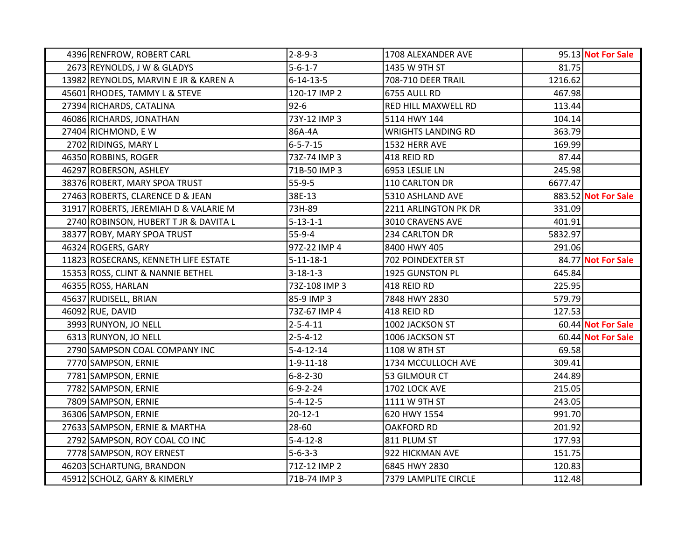| 4396 RENFROW, ROBERT CARL             | $2 - 8 - 9 - 3$   | 1708 ALEXANDER AVE        |         | 95.13 Not For Sale  |
|---------------------------------------|-------------------|---------------------------|---------|---------------------|
| 2673 REYNOLDS, J W & GLADYS           | $5 - 6 - 1 - 7$   | 1435 W 9TH ST             | 81.75   |                     |
| 13982 REYNOLDS, MARVIN E JR & KAREN A | $6 - 14 - 13 - 5$ | 708-710 DEER TRAIL        | 1216.62 |                     |
| 45601 RHODES, TAMMY L & STEVE         | 120-17 IMP 2      | 6755 AULL RD              | 467.98  |                     |
| 27394 RICHARDS, CATALINA              | $92 - 6$          | RED HILL MAXWELL RD       | 113.44  |                     |
| 46086 RICHARDS, JONATHAN              | 73Y-12 IMP 3      | 5114 HWY 144              | 104.14  |                     |
| 27404 RICHMOND, EW                    | 86A-4A            | <b>WRIGHTS LANDING RD</b> | 363.79  |                     |
| 2702 RIDINGS, MARY L                  | $6 - 5 - 7 - 15$  | 1532 HERR AVE             | 169.99  |                     |
| 46350 ROBBINS, ROGER                  | 73Z-74 IMP 3      | 418 REID RD               | 87.44   |                     |
| 46297 ROBERSON, ASHLEY                | 71B-50 IMP 3      | 6953 LESLIE LN            | 245.98  |                     |
| 38376 ROBERT, MARY SPOA TRUST         | $55-9-5$          | 110 CARLTON DR            | 6677.47 |                     |
| 27463 ROBERTS, CLARENCE D & JEAN      | 38E-13            | 5310 ASHLAND AVE          |         | 883.52 Not For Sale |
| 31917 ROBERTS, JEREMIAH D & VALARIE M | 73H-89            | 2211 ARLINGTON PK DR      | 331.09  |                     |
| 2740 ROBINSON, HUBERT T JR & DAVITA L | $5 - 13 - 1 - 1$  | 3010 CRAVENS AVE          | 401.91  |                     |
| 38377 ROBY, MARY SPOA TRUST           | $55-9-4$          | 234 CARLTON DR            | 5832.97 |                     |
| 46324 ROGERS, GARY                    | 97Z-22 IMP 4      | 8400 HWY 405              | 291.06  |                     |
| 11823 ROSECRANS, KENNETH LIFE ESTATE  | $5 - 11 - 18 - 1$ | 702 POINDEXTER ST         |         | 84.77 Not For Sale  |
| 15353 ROSS, CLINT & NANNIE BETHEL     | $3 - 18 - 1 - 3$  | 1925 GUNSTON PL           | 645.84  |                     |
| 46355 ROSS, HARLAN                    | 73Z-108 IMP 3     | 418 REID RD               | 225.95  |                     |
| 45637 RUDISELL, BRIAN                 | 85-9 IMP 3        | 7848 HWY 2830             | 579.79  |                     |
| 46092 RUE, DAVID                      | 73Z-67 IMP 4      | 418 REID RD               | 127.53  |                     |
| 3993 RUNYON, JO NELL                  | $2 - 5 - 4 - 11$  | 1002 JACKSON ST           |         | 60.44 Not For Sale  |
| 6313 RUNYON, JO NELL                  | $2 - 5 - 4 - 12$  | 1006 JACKSON ST           |         | 60.44 Not For Sale  |
| 2790 SAMPSON COAL COMPANY INC         | $5 - 4 - 12 - 14$ | 1108 W 8TH ST             | 69.58   |                     |
| 7770 SAMPSON, ERNIE                   | $1 - 9 - 11 - 18$ | 1734 MCCULLOCH AVE        | 309.41  |                     |
| 7781 SAMPSON, ERNIE                   | $6 - 8 - 2 - 30$  | 53 GILMOUR CT             | 244.89  |                     |
| 7782 SAMPSON, ERNIE                   | $6 - 9 - 2 - 24$  | 1702 LOCK AVE             | 215.05  |                     |
| 7809 SAMPSON, ERNIE                   | $5 - 4 - 12 - 5$  | 1111 W 9TH ST             | 243.05  |                     |
| 36306 SAMPSON, ERNIE                  | $20 - 12 - 1$     | 620 HWY 1554              | 991.70  |                     |
| 27633 SAMPSON, ERNIE & MARTHA         | 28-60             | <b>OAKFORD RD</b>         | 201.92  |                     |
| 2792 SAMPSON, ROY COAL CO INC         | $5 - 4 - 12 - 8$  | 811 PLUM ST               | 177.93  |                     |
| 7778 SAMPSON, ROY ERNEST              | $5 - 6 - 3 - 3$   | 922 HICKMAN AVE           | 151.75  |                     |
| 46203 SCHARTUNG, BRANDON              | 71Z-12 IMP 2      | 6845 HWY 2830             | 120.83  |                     |
| 45912 SCHOLZ, GARY & KIMERLY          | 71B-74 IMP 3      | 7379 LAMPLITE CIRCLE      | 112.48  |                     |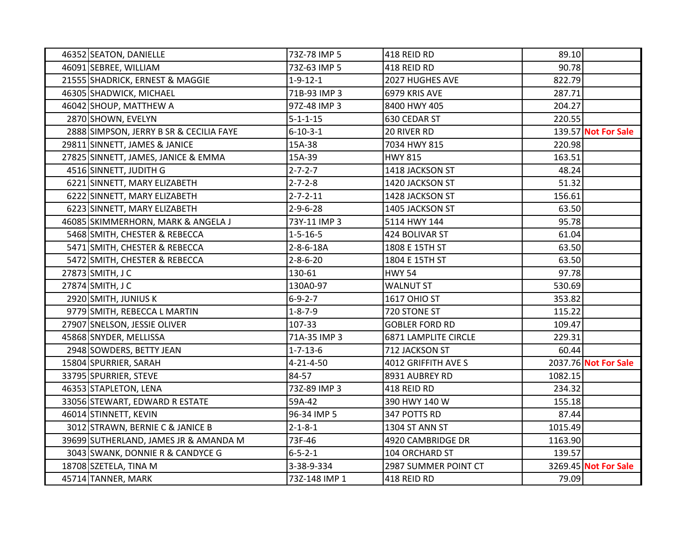| 46352 SEATON, DANIELLE                  | 73Z-78 IMP 5      | 418 REID RD           | 89.10   |                      |
|-----------------------------------------|-------------------|-----------------------|---------|----------------------|
| 46091 SEBREE, WILLIAM                   | 73Z-63 IMP 5      | 418 REID RD           | 90.78   |                      |
| 21555 SHADRICK, ERNEST & MAGGIE         | $1 - 9 - 12 - 1$  | 2027 HUGHES AVE       | 822.79  |                      |
| 46305 SHADWICK, MICHAEL                 | 71B-93 IMP 3      | 6979 KRIS AVE         | 287.71  |                      |
| 46042 SHOUP, MATTHEW A                  | 97Z-48 IMP 3      | 8400 HWY 405          | 204.27  |                      |
| 2870 SHOWN, EVELYN                      | $5 - 1 - 1 - 15$  | 630 CEDAR ST          | 220.55  |                      |
| 2888 SIMPSON, JERRY B SR & CECILIA FAYE | $6 - 10 - 3 - 1$  | 20 RIVER RD           |         | 139.57 Not For Sale  |
| 29811 SINNETT, JAMES & JANICE           | 15A-38            | 7034 HWY 815          | 220.98  |                      |
| 27825 SINNETT, JAMES, JANICE & EMMA     | 15A-39            | <b>HWY 815</b>        | 163.51  |                      |
| 4516 SINNETT, JUDITH G                  | $2 - 7 - 2 - 7$   | 1418 JACKSON ST       | 48.24   |                      |
| 6221 SINNETT, MARY ELIZABETH            | $2 - 7 - 2 - 8$   | 1420 JACKSON ST       | 51.32   |                      |
| 6222 SINNETT, MARY ELIZABETH            | $2 - 7 - 2 - 11$  | 1428 JACKSON ST       | 156.61  |                      |
| 6223 SINNETT, MARY ELIZABETH            | $2 - 9 - 6 - 28$  | 1405 JACKSON ST       | 63.50   |                      |
| 46085 SKIMMERHORN, MARK & ANGELA J      | 73Y-11 IMP 3      | 5114 HWY 144          | 95.78   |                      |
| 5468 SMITH, CHESTER & REBECCA           | $1 - 5 - 16 - 5$  | 424 BOLIVAR ST        | 61.04   |                      |
| 5471 SMITH, CHESTER & REBECCA           | $2 - 8 - 6 - 18A$ | 1808 E 15TH ST        | 63.50   |                      |
| 5472 SMITH, CHESTER & REBECCA           | $2 - 8 - 6 - 20$  | 1804 E 15TH ST        | 63.50   |                      |
| 27873 SMITH, J C                        | 130-61            | <b>HWY 54</b>         | 97.78   |                      |
| 27874 SMITH, J C                        | 130A0-97          | <b>WALNUT ST</b>      | 530.69  |                      |
| 2920 SMITH, JUNIUS K                    | $6 - 9 - 2 - 7$   | <b>1617 OHIO ST</b>   | 353.82  |                      |
| 9779 SMITH, REBECCA L MARTIN            | $1 - 8 - 7 - 9$   | 720 STONE ST          | 115.22  |                      |
| 27907 SNELSON, JESSIE OLIVER            | 107-33            | <b>GOBLER FORD RD</b> | 109.47  |                      |
| 45868 SNYDER, MELLISSA                  | 71A-35 IMP 3      | 6871 LAMPLITE CIRCLE  | 229.31  |                      |
| 2948 SOWDERS, BETTY JEAN                | $1 - 7 - 13 - 6$  | 712 JACKSON ST        | 60.44   |                      |
| 15804 SPURRIER, SARAH                   | $4 - 21 - 4 - 50$ | 4012 GRIFFITH AVE S   |         | 2037.76 Not For Sale |
| 33795 SPURRIER, STEVE                   | 84-57             | 8931 AUBREY RD        | 1082.15 |                      |
| 46353 STAPLETON, LENA                   | 73Z-89 IMP 3      | 418 REID RD           | 234.32  |                      |
| 33056 STEWART, EDWARD R ESTATE          | 59A-42            | 390 HWY 140 W         | 155.18  |                      |
| 46014 STINNETT, KEVIN                   | 96-34 IMP 5       | 347 POTTS RD          | 87.44   |                      |
| 3012 STRAWN, BERNIE C & JANICE B        | $2 - 1 - 8 - 1$   | 1304 ST ANN ST        | 1015.49 |                      |
| 39699 SUTHERLAND, JAMES JR & AMANDA M   | 73F-46            | 4920 CAMBRIDGE DR     | 1163.90 |                      |
| 3043 SWANK, DONNIE R & CANDYCE G        | $6 - 5 - 2 - 1$   | 104 ORCHARD ST        | 139.57  |                      |
| 18708 SZETELA, TINA M                   | 3-38-9-334        | 2987 SUMMER POINT CT  |         | 3269.45 Not For Sale |
| 45714 TANNER, MARK                      | 73Z-148 IMP 1     | 418 REID RD           | 79.09   |                      |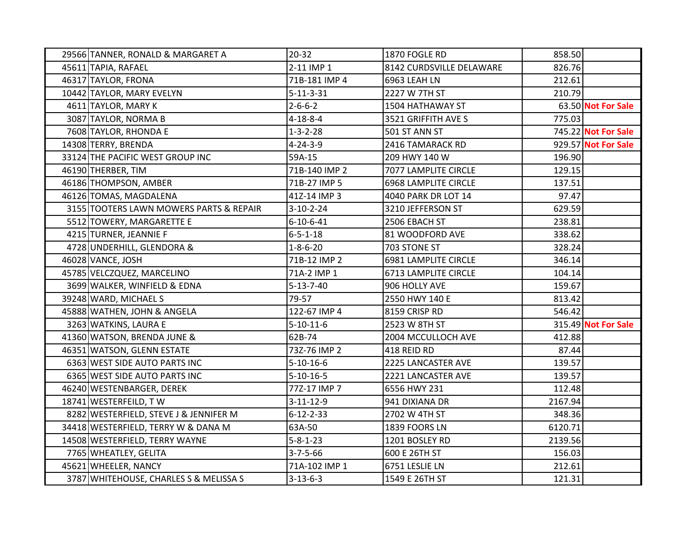| 29566 TANNER, RONALD & MARGARET A       | $20 - 32$         | 1870 FOGLE RD               | 858.50  |                     |
|-----------------------------------------|-------------------|-----------------------------|---------|---------------------|
| 45611 TAPIA, RAFAEL                     | 2-11 IMP 1        | 8142 CURDSVILLE DELAWARE    | 826.76  |                     |
| 46317 TAYLOR, FRONA                     | 71B-181 IMP 4     | 6963 LEAH LN                | 212.61  |                     |
| 10442 TAYLOR, MARY EVELYN               | $5 - 11 - 3 - 31$ | 2227 W 7TH ST               | 210.79  |                     |
| 4611 TAYLOR, MARY K                     | $2 - 6 - 6 - 2$   | 1504 HATHAWAY ST            |         | 63.50 Not For Sale  |
| 3087 TAYLOR, NORMA B                    | $4 - 18 - 8 - 4$  | 3521 GRIFFITH AVE S         | 775.03  |                     |
| 7608 TAYLOR, RHONDA E                   | $1 - 3 - 2 - 28$  | 501 ST ANN ST               |         | 745.22 Not For Sale |
| 14308 TERRY, BRENDA                     | $4 - 24 - 3 - 9$  | 2416 TAMARACK RD            |         | 929.57 Not For Sale |
| 33124 THE PACIFIC WEST GROUP INC        | 59A-15            | 209 HWY 140 W               | 196.90  |                     |
| 46190 THERBER, TIM                      | 71B-140 IMP 2     | 7077 LAMPLITE CIRCLE        | 129.15  |                     |
| 46186 THOMPSON, AMBER                   | 71B-27 IMP 5      | <b>6968 LAMPLITE CIRCLE</b> | 137.51  |                     |
| 46126 TOMAS, MAGDALENA                  | 41Z-14 IMP 3      | 4040 PARK DR LOT 14         | 97.47   |                     |
| 3155 TOOTERS LAWN MOWERS PARTS & REPAIR | $3-10-2-24$       | 3210 JEFFERSON ST           | 629.59  |                     |
| 5512 TOWERY, MARGARETTE E               | $6 - 10 - 6 - 41$ | 2506 EBACH ST               | 238.81  |                     |
| 4215 TURNER, JEANNIE F                  | $6 - 5 - 1 - 18$  | 81 WOODFORD AVE             | 338.62  |                     |
| 4728 UNDERHILL, GLENDORA &              | $1 - 8 - 6 - 20$  | 703 STONE ST                | 328.24  |                     |
| 46028 VANCE, JOSH                       | 71B-12 IMP 2      | 6981 LAMPLITE CIRCLE        | 346.14  |                     |
| 45785 VELCZQUEZ, MARCELINO              | 71A-2 IMP 1       | 6713 LAMPLITE CIRCLE        | 104.14  |                     |
| 3699 WALKER, WINFIELD & EDNA            | $5 - 13 - 7 - 40$ | 906 HOLLY AVE               | 159.67  |                     |
| 39248 WARD, MICHAEL S                   | 79-57             | 2550 HWY 140 E              | 813.42  |                     |
| 45888 WATHEN, JOHN & ANGELA             | 122-67 IMP 4      | 8159 CRISP RD               | 546.42  |                     |
| 3263 WATKINS, LAURA E                   | $5-10-11-6$       | 2523 W 8TH ST               |         | 315.49 Not For Sale |
| 41360 WATSON, BRENDA JUNE &             | 62B-74            | 2004 MCCULLOCH AVE          | 412.88  |                     |
| 46351 WATSON, GLENN ESTATE              | 73Z-76 IMP 2      | 418 REID RD                 | 87.44   |                     |
| 6363 WEST SIDE AUTO PARTS INC           | $5-10-16-6$       | 2225 LANCASTER AVE          | 139.57  |                     |
| 6365 WEST SIDE AUTO PARTS INC           | $5 - 10 - 16 - 5$ | 2221 LANCASTER AVE          | 139.57  |                     |
| 46240 WESTENBARGER, DEREK               | 77Z-17 IMP 7      | 6556 HWY 231                | 112.48  |                     |
| 18741 WESTERFEILD, TW                   | $3 - 11 - 12 - 9$ | 941 DIXIANA DR              | 2167.94 |                     |
| 8282 WESTERFIELD, STEVE J & JENNIFER M  | $6 - 12 - 2 - 33$ | 2702 W 4TH ST               | 348.36  |                     |
| 34418 WESTERFIELD, TERRY W & DANA M     | 63A-50            | 1839 FOORS LN               | 6120.71 |                     |
| 14508 WESTERFIELD, TERRY WAYNE          | $5 - 8 - 1 - 23$  | 1201 BOSLEY RD              | 2139.56 |                     |
| 7765 WHEATLEY, GELITA                   | $3 - 7 - 5 - 66$  | 600 E 26TH ST               | 156.03  |                     |
| 45621 WHEELER, NANCY                    | 71A-102 IMP 1     | 6751 LESLIE LN              | 212.61  |                     |
| 3787 WHITEHOUSE, CHARLES S & MELISSA S  | $3 - 13 - 6 - 3$  | 1549 E 26TH ST              | 121.31  |                     |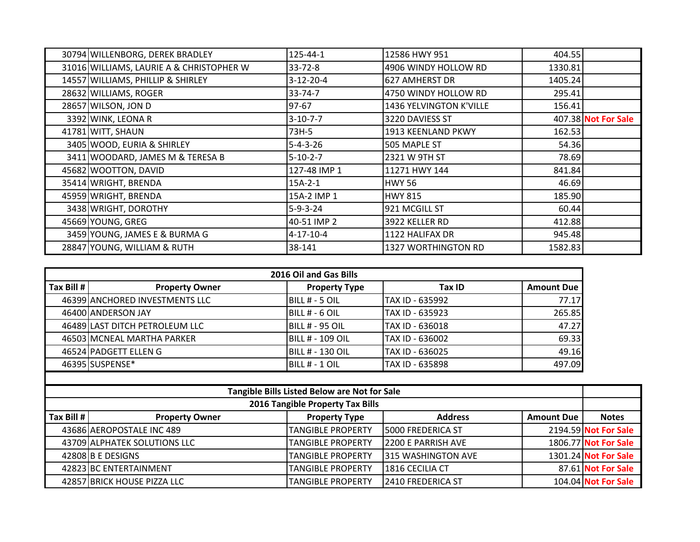| 30794 WILLENBORG, DEREK BRADLEY          | 125-44-1         | 12586 HWY 951              | 404.55  |                     |
|------------------------------------------|------------------|----------------------------|---------|---------------------|
| 31016 WILLIAMS, LAURIE A & CHRISTOPHER W | 33-72-8          | 4906 WINDY HOLLOW RD       | 1330.81 |                     |
| 14557 WILLIAMS, PHILLIP & SHIRLEY        | $3-12-20-4$      | 627 AMHERST DR             | 1405.24 |                     |
| 28632 WILLIAMS, ROGER                    | $33 - 74 - 7$    | 4750 WINDY HOLLOW RD       | 295.41  |                     |
| 28657 WILSON, JON D                      | 97-67            | 1436 YELVINGTON K'VILLE    | 156.41  |                     |
| 3392 WINK, LEONA R                       | $3 - 10 - 7 - 7$ | 3220 DAVIESS ST            |         | 407.38 Not For Sale |
| 41781 WITT, SHAUN                        | 73H-5            | 1913 KEENLAND PKWY         | 162.53  |                     |
| 3405 WOOD, EURIA & SHIRLEY               | $5 - 4 - 3 - 26$ | 505 MAPLE ST               | 54.36   |                     |
| 3411 WOODARD, JAMES M & TERESA B         | $5-10-2-7$       | 2321 W 9TH ST              | 78.69   |                     |
| 45682 WOOTTON, DAVID                     | 127-48 IMP 1     | 11271 HWY 144              | 841.84  |                     |
| 35414 WRIGHT, BRENDA                     | $15A-2-1$        | <b>HWY 56</b>              | 46.69   |                     |
| 45959 WRIGHT, BRENDA                     | 15A-2 IMP 1      | <b>HWY 815</b>             | 185.90  |                     |
| 3438 WRIGHT, DOROTHY                     | $5 - 9 - 3 - 24$ | 921 MCGILL ST              | 60.44   |                     |
| 45669 YOUNG, GREG                        | 40-51 IMP 2      | 3922 KELLER RD             | 412.88  |                     |
| 3459 YOUNG, JAMES E & BURMA G            | 4-17-10-4        | 1122 HALIFAX DR            | 945.48  |                     |
| 28847 YOUNG, WILLIAM & RUTH              | 38-141           | <b>1327 WORTHINGTON RD</b> | 1582.83 |                     |

| 2016 Oil and Gas Bills |                                |                         |                 |                   |
|------------------------|--------------------------------|-------------------------|-----------------|-------------------|
| $Tax$ Bill #           | <b>Property Owner</b>          | <b>Property Type</b>    | Tax ID          | <b>Amount Due</b> |
|                        | 46399 ANCHORED INVESTMENTS LLC | BILL # - 5 OIL          | TAX ID - 635992 | 77.17             |
|                        | 46400 ANDERSON JAY             | <b>IBILL # - 6 OIL</b>  | TAX ID - 635923 | 265.85            |
|                        | 46489 LAST DITCH PETROLEUM LLC | IBILL # - 95 OIL        | TAX ID - 636018 | 47.27             |
|                        | 46503 MCNEAL MARTHA PARKER     | <b>BILL # - 109 OIL</b> | TAX ID - 636002 | 69.33             |
|                        | 46524 PADGETT ELLEN G          | IBILL # - 130 OIL       | TAX ID - 636025 | 49.16             |
|                        | 46395 SUSPENSE*                | IBILL # - 1 OIL         | TAX ID - 635898 | 497.09            |

| Tangible Bills Listed Below are Not for Sale |                              |                          |                           |                   |                      |
|----------------------------------------------|------------------------------|--------------------------|---------------------------|-------------------|----------------------|
| 2016 Tangible Property Tax Bills             |                              |                          |                           |                   |                      |
| $\vert$ Tax Bill #                           | <b>Property Owner</b>        | <b>Property Type</b>     | <b>Address</b>            | <b>Amount Due</b> | <b>Notes</b>         |
|                                              | 43686 AEROPOSTALE INC 489    | <b>TANGIBLE PROPERTY</b> | <b>5000 FREDERICA ST</b>  |                   | 2194.59 Not For Sale |
|                                              | 43709 ALPHATEK SOLUTIONS LLC | <b>TANGIBLE PROPERTY</b> | <b>2200 E PARRISH AVE</b> |                   | 1806.77 Not For Sale |
|                                              | 42808 B E DESIGNS            | <b>TANGIBLE PROPERTY</b> | <b>315 WASHINGTON AVE</b> |                   | 1301.24 Not For Sale |
|                                              | 42823 BC ENTERTAINMENT       | <b>TANGIBLE PROPERTY</b> | 1816 CECILIA CT           |                   | 87.61 Not For Sale   |
|                                              | 42857 BRICK HOUSE PIZZA LLC  | <b>TANGIBLE PROPERTY</b> | 2410 FREDERICA ST         |                   | 104.04 Not For Sale  |